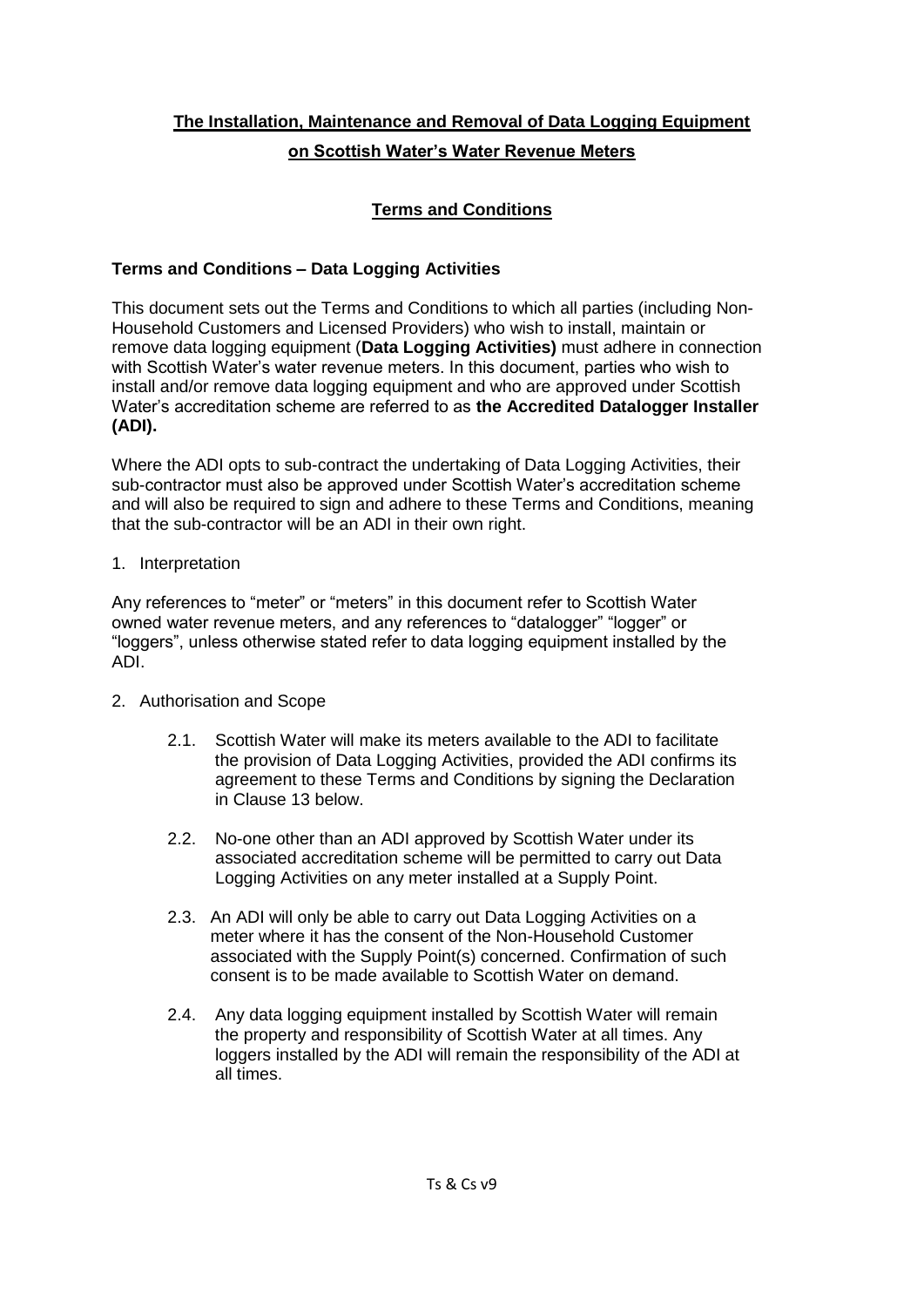# **The Installation, Maintenance and Removal of Data Logging Equipment on Scottish Water's Water Revenue Meters**

# **Terms and Conditions**

# **Terms and Conditions – Data Logging Activities**

This document sets out the Terms and Conditions to which all parties (including Non-Household Customers and Licensed Providers) who wish to install, maintain or remove data logging equipment (**Data Logging Activities)** must adhere in connection with Scottish Water's water revenue meters. In this document, parties who wish to install and/or remove data logging equipment and who are approved under Scottish Water's accreditation scheme are referred to as **the Accredited Datalogger Installer (ADI).**

Where the ADI opts to sub-contract the undertaking of Data Logging Activities, their sub-contractor must also be approved under Scottish Water's accreditation scheme and will also be required to sign and adhere to these Terms and Conditions, meaning that the sub-contractor will be an ADI in their own right.

1. Interpretation

Any references to "meter" or "meters" in this document refer to Scottish Water owned water revenue meters, and any references to "datalogger" "logger" or "loggers", unless otherwise stated refer to data logging equipment installed by the ADI.

- 2. Authorisation and Scope
	- 2.1. Scottish Water will make its meters available to the ADI to facilitate the provision of Data Logging Activities, provided the ADI confirms its agreement to these Terms and Conditions by signing the Declaration in Clause 13 below.
	- 2.2. No-one other than an ADI approved by Scottish Water under its associated accreditation scheme will be permitted to carry out Data Logging Activities on any meter installed at a Supply Point.
	- 2.3. An ADI will only be able to carry out Data Logging Activities on a meter where it has the consent of the Non-Household Customer associated with the Supply Point(s) concerned. Confirmation of such consent is to be made available to Scottish Water on demand.
	- 2.4. Any data logging equipment installed by Scottish Water will remain the property and responsibility of Scottish Water at all times. Any loggers installed by the ADI will remain the responsibility of the ADI at all times.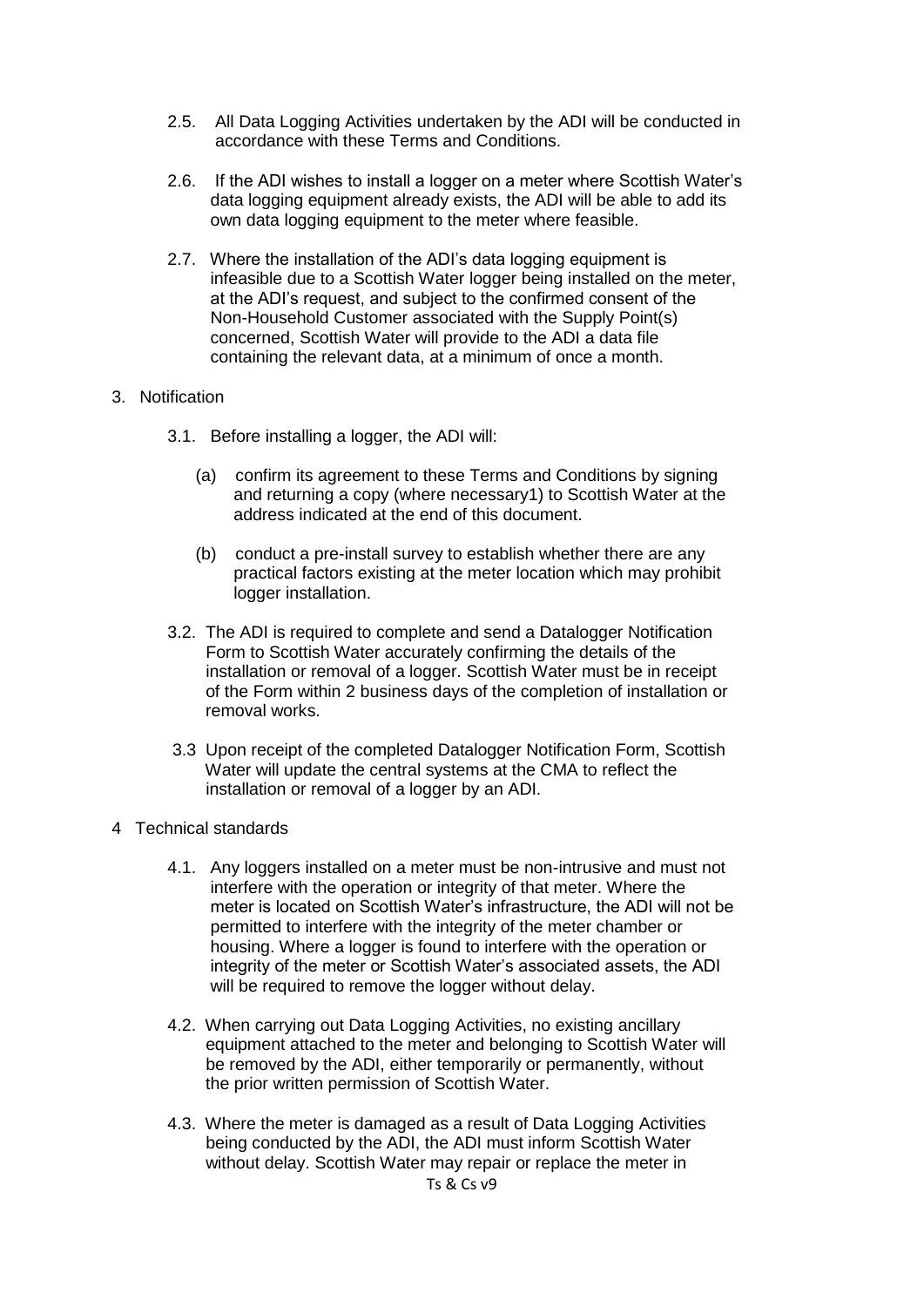- 2.5. All Data Logging Activities undertaken by the ADI will be conducted in accordance with these Terms and Conditions.
- 2.6. If the ADI wishes to install a logger on a meter where Scottish Water's data logging equipment already exists, the ADI will be able to add its own data logging equipment to the meter where feasible.
- 2.7. Where the installation of the ADI's data logging equipment is infeasible due to a Scottish Water logger being installed on the meter, at the ADI's request, and subject to the confirmed consent of the Non-Household Customer associated with the Supply Point(s) concerned, Scottish Water will provide to the ADI a data file containing the relevant data, at a minimum of once a month.

# 3. Notification

- 3.1. Before installing a logger, the ADI will:
	- (a) confirm its agreement to these Terms and Conditions by signing and returning a copy (where necessary1) to Scottish Water at the address indicated at the end of this document.
	- (b) conduct a pre-install survey to establish whether there are any practical factors existing at the meter location which may prohibit logger installation.
- 3.2. The ADI is required to complete and send a Datalogger Notification Form to Scottish Water accurately confirming the details of the installation or removal of a logger. Scottish Water must be in receipt of the Form within 2 business days of the completion of installation or removal works.
- 3.3 Upon receipt of the completed Datalogger Notification Form, Scottish Water will update the central systems at the CMA to reflect the installation or removal of a logger by an ADI.
- 4 Technical standards
	- 4.1. Any loggers installed on a meter must be non-intrusive and must not interfere with the operation or integrity of that meter. Where the meter is located on Scottish Water's infrastructure, the ADI will not be permitted to interfere with the integrity of the meter chamber or housing. Where a logger is found to interfere with the operation or integrity of the meter or Scottish Water's associated assets, the ADI will be required to remove the logger without delay.
	- 4.2. When carrying out Data Logging Activities, no existing ancillary equipment attached to the meter and belonging to Scottish Water will be removed by the ADI, either temporarily or permanently, without the prior written permission of Scottish Water.
	- 4.3. Where the meter is damaged as a result of Data Logging Activities being conducted by the ADI, the ADI must inform Scottish Water without delay. Scottish Water may repair or replace the meter in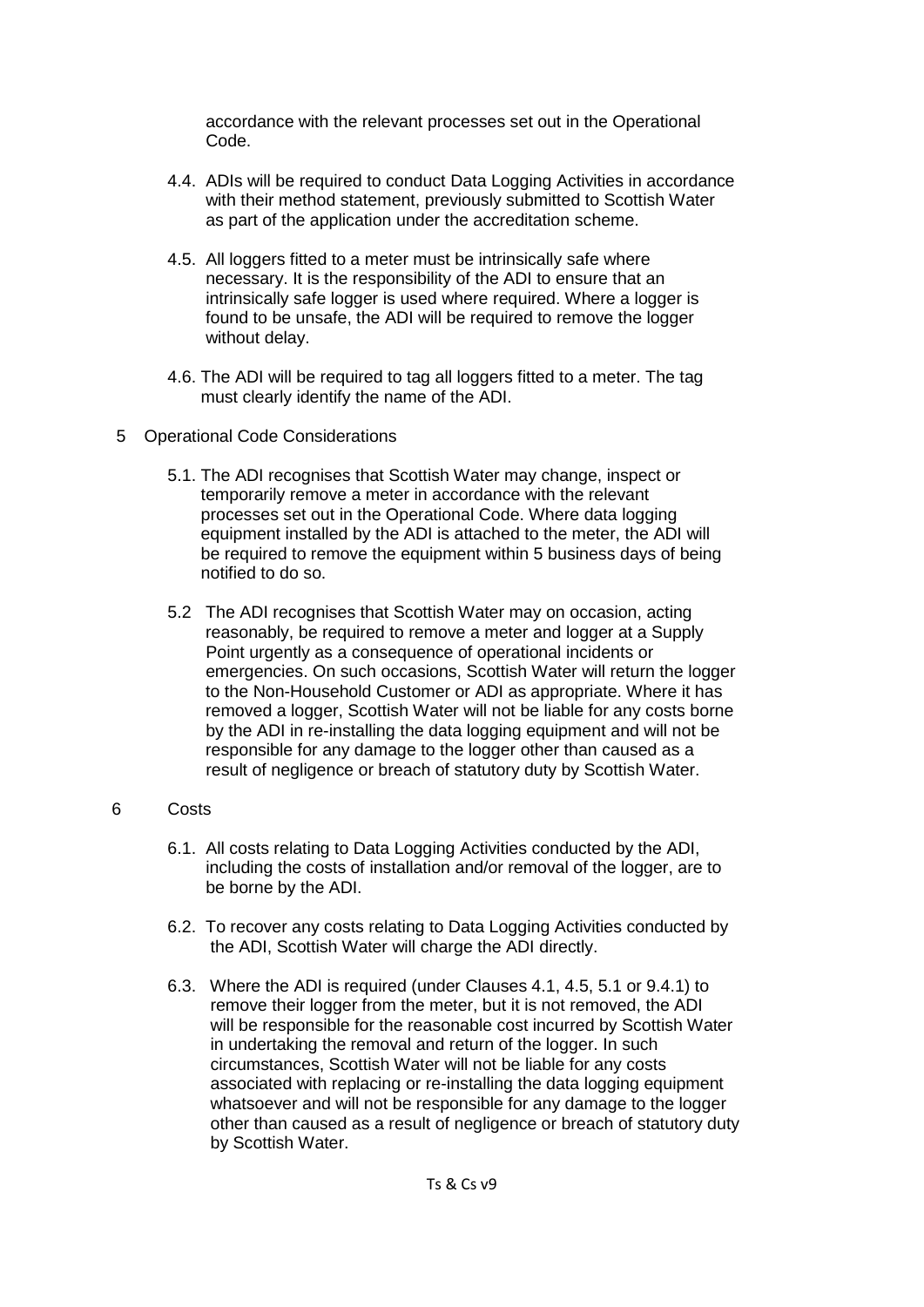accordance with the relevant processes set out in the Operational Code.

- 4.4. ADIs will be required to conduct Data Logging Activities in accordance with their method statement, previously submitted to Scottish Water as part of the application under the accreditation scheme.
- 4.5. All loggers fitted to a meter must be intrinsically safe where necessary. It is the responsibility of the ADI to ensure that an intrinsically safe logger is used where required. Where a logger is found to be unsafe, the ADI will be required to remove the logger without delay.
- 4.6. The ADI will be required to tag all loggers fitted to a meter. The tag must clearly identify the name of the ADI.
- 5 Operational Code Considerations
	- 5.1. The ADI recognises that Scottish Water may change, inspect or temporarily remove a meter in accordance with the relevant processes set out in the Operational Code. Where data logging equipment installed by the ADI is attached to the meter, the ADI will be required to remove the equipment within 5 business days of being notified to do so.
	- 5.2 The ADI recognises that Scottish Water may on occasion, acting reasonably, be required to remove a meter and logger at a Supply Point urgently as a consequence of operational incidents or emergencies. On such occasions, Scottish Water will return the logger to the Non-Household Customer or ADI as appropriate. Where it has removed a logger, Scottish Water will not be liable for any costs borne by the ADI in re-installing the data logging equipment and will not be responsible for any damage to the logger other than caused as a result of negligence or breach of statutory duty by Scottish Water.

## 6 Costs

- 6.1. All costs relating to Data Logging Activities conducted by the ADI, including the costs of installation and/or removal of the logger, are to be borne by the ADI.
- 6.2. To recover any costs relating to Data Logging Activities conducted by the ADI, Scottish Water will charge the ADI directly.
- 6.3. Where the ADI is required (under Clauses 4.1, 4.5, 5.1 or 9.4.1) to remove their logger from the meter, but it is not removed, the ADI will be responsible for the reasonable cost incurred by Scottish Water in undertaking the removal and return of the logger. In such circumstances, Scottish Water will not be liable for any costs associated with replacing or re-installing the data logging equipment whatsoever and will not be responsible for any damage to the logger other than caused as a result of negligence or breach of statutory duty by Scottish Water.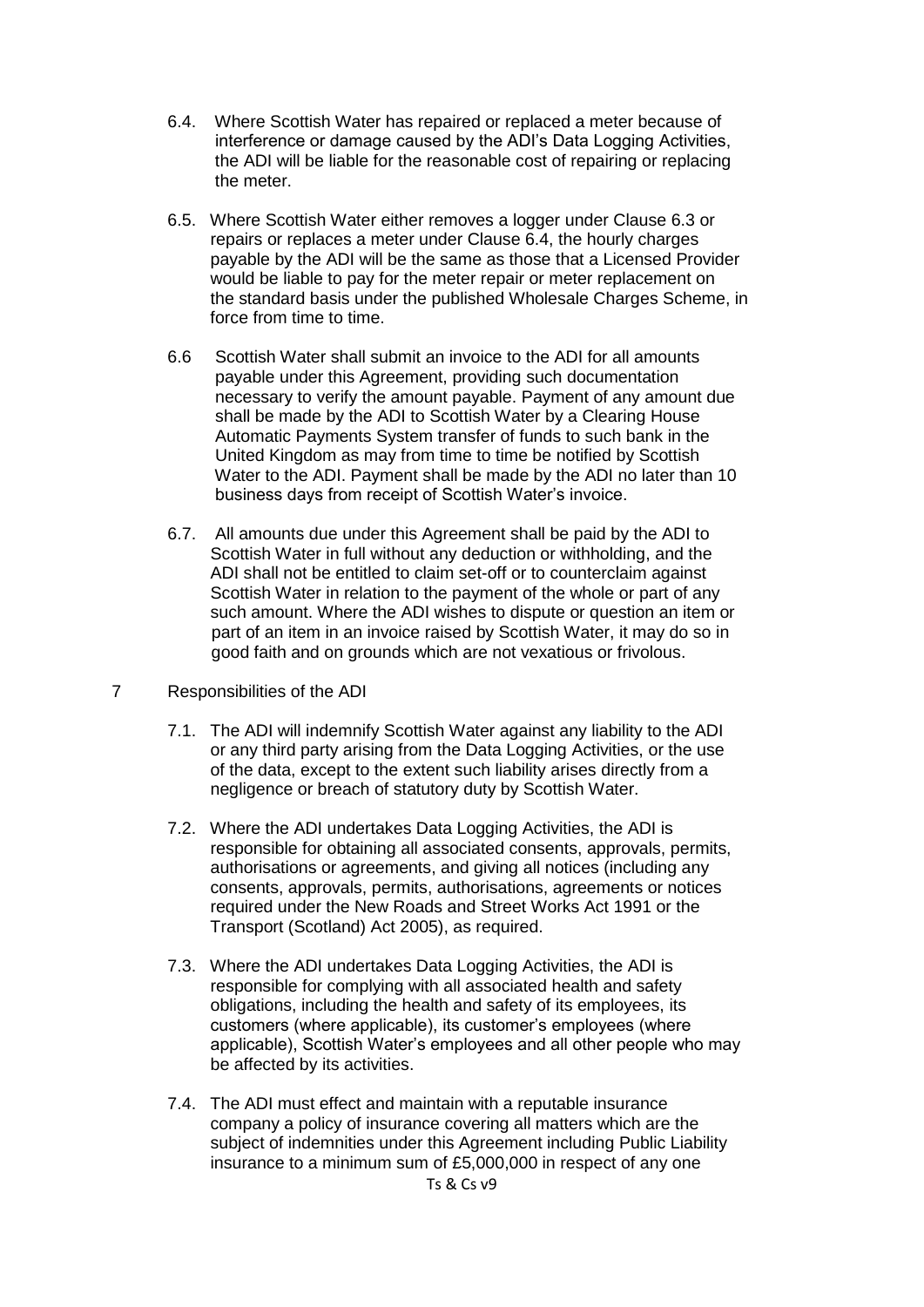- 6.4. Where Scottish Water has repaired or replaced a meter because of interference or damage caused by the ADI's Data Logging Activities, the ADI will be liable for the reasonable cost of repairing or replacing the meter.
- 6.5. Where Scottish Water either removes a logger under Clause 6.3 or repairs or replaces a meter under Clause 6.4, the hourly charges payable by the ADI will be the same as those that a Licensed Provider would be liable to pay for the meter repair or meter replacement on the standard basis under the published Wholesale Charges Scheme, in force from time to time.
- 6.6 Scottish Water shall submit an invoice to the ADI for all amounts payable under this Agreement, providing such documentation necessary to verify the amount payable. Payment of any amount due shall be made by the ADI to Scottish Water by a Clearing House Automatic Payments System transfer of funds to such bank in the United Kingdom as may from time to time be notified by Scottish Water to the ADI. Payment shall be made by the ADI no later than 10 business days from receipt of Scottish Water's invoice.
- 6.7. All amounts due under this Agreement shall be paid by the ADI to Scottish Water in full without any deduction or withholding, and the ADI shall not be entitled to claim set-off or to counterclaim against Scottish Water in relation to the payment of the whole or part of any such amount. Where the ADI wishes to dispute or question an item or part of an item in an invoice raised by Scottish Water, it may do so in good faith and on grounds which are not vexatious or frivolous.
- 7 Responsibilities of the ADI
	- 7.1. The ADI will indemnify Scottish Water against any liability to the ADI or any third party arising from the Data Logging Activities, or the use of the data, except to the extent such liability arises directly from a negligence or breach of statutory duty by Scottish Water.
	- 7.2. Where the ADI undertakes Data Logging Activities, the ADI is responsible for obtaining all associated consents, approvals, permits, authorisations or agreements, and giving all notices (including any consents, approvals, permits, authorisations, agreements or notices required under the New Roads and Street Works Act 1991 or the Transport (Scotland) Act 2005), as required.
	- 7.3. Where the ADI undertakes Data Logging Activities, the ADI is responsible for complying with all associated health and safety obligations, including the health and safety of its employees, its customers (where applicable), its customer's employees (where applicable), Scottish Water's employees and all other people who may be affected by its activities.
	- 7.4. The ADI must effect and maintain with a reputable insurance company a policy of insurance covering all matters which are the subject of indemnities under this Agreement including Public Liability insurance to a minimum sum of £5,000,000 in respect of any one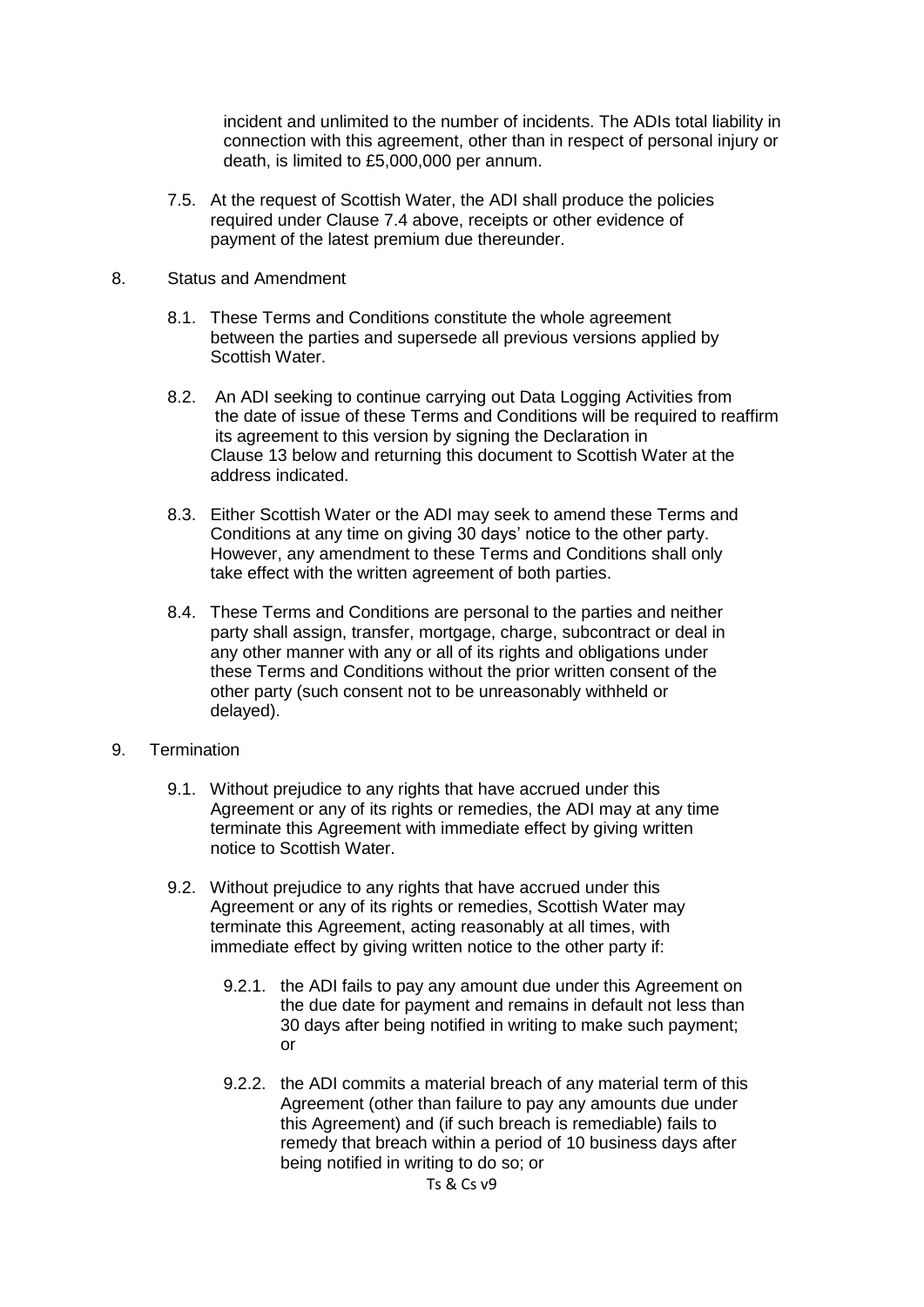incident and unlimited to the number of incidents. The ADIs total liability in connection with this agreement, other than in respect of personal injury or death, is limited to £5,000,000 per annum.

7.5. At the request of Scottish Water, the ADI shall produce the policies required under Clause 7.4 above, receipts or other evidence of payment of the latest premium due thereunder.

#### 8. Status and Amendment

- 8.1. These Terms and Conditions constitute the whole agreement between the parties and supersede all previous versions applied by Scottish Water.
- 8.2. An ADI seeking to continue carrying out Data Logging Activities from the date of issue of these Terms and Conditions will be required to reaffirm its agreement to this version by signing the Declaration in Clause 13 below and returning this document to Scottish Water at the address indicated.
- 8.3. Either Scottish Water or the ADI may seek to amend these Terms and Conditions at any time on giving 30 days' notice to the other party. However, any amendment to these Terms and Conditions shall only take effect with the written agreement of both parties.
- 8.4. These Terms and Conditions are personal to the parties and neither party shall assign, transfer, mortgage, charge, subcontract or deal in any other manner with any or all of its rights and obligations under these Terms and Conditions without the prior written consent of the other party (such consent not to be unreasonably withheld or delayed).
- 9. Termination
	- 9.1. Without prejudice to any rights that have accrued under this Agreement or any of its rights or remedies, the ADI may at any time terminate this Agreement with immediate effect by giving written notice to Scottish Water.
	- 9.2. Without prejudice to any rights that have accrued under this Agreement or any of its rights or remedies, Scottish Water may terminate this Agreement, acting reasonably at all times, with immediate effect by giving written notice to the other party if:
		- 9.2.1. the ADI fails to pay any amount due under this Agreement on the due date for payment and remains in default not less than 30 days after being notified in writing to make such payment; or
		- 9.2.2. the ADI commits a material breach of any material term of this Agreement (other than failure to pay any amounts due under this Agreement) and (if such breach is remediable) fails to remedy that breach within a period of 10 business days after being notified in writing to do so; or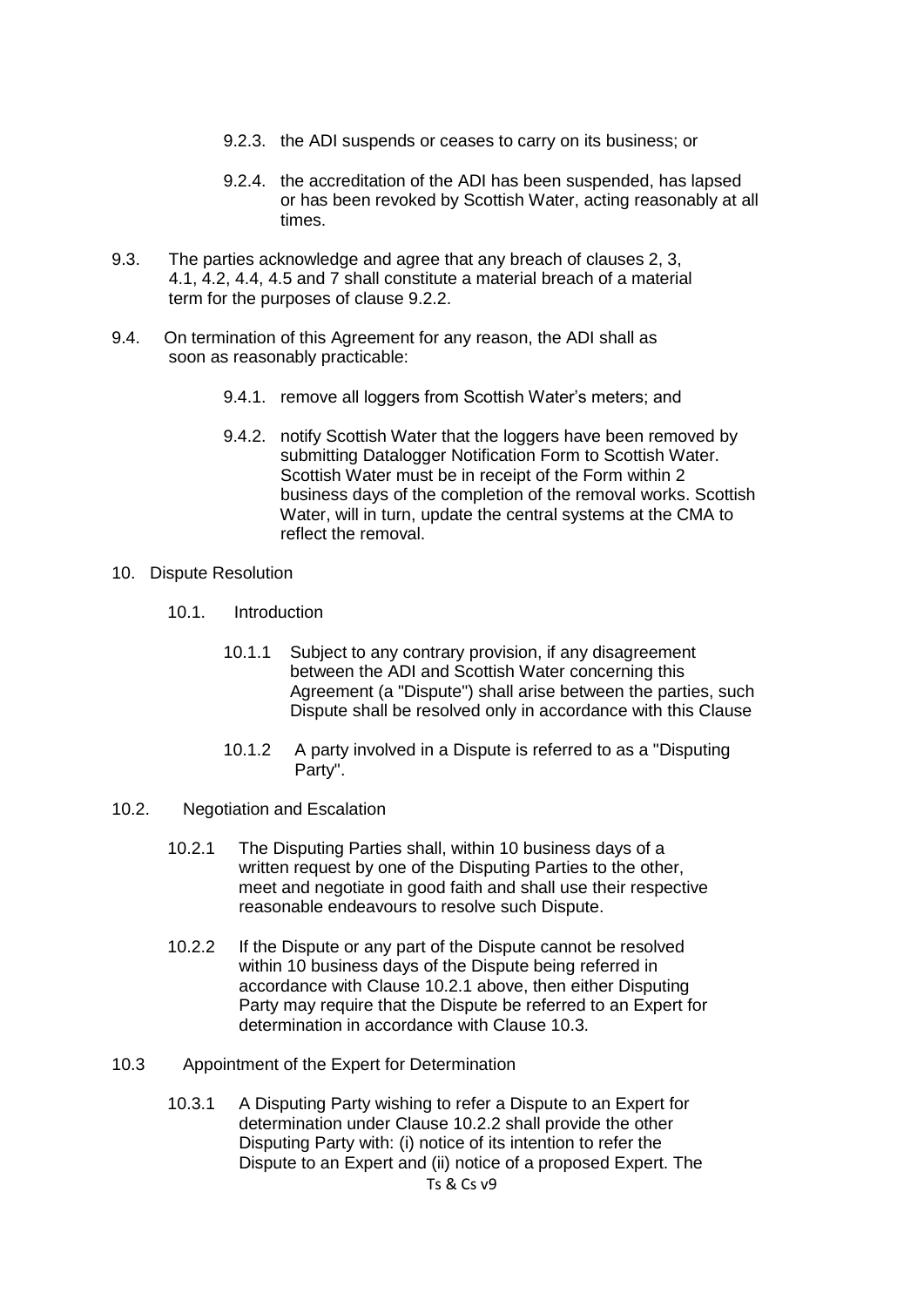- 9.2.3. the ADI suspends or ceases to carry on its business; or
- 9.2.4. the accreditation of the ADI has been suspended, has lapsed or has been revoked by Scottish Water, acting reasonably at all times.
- 9.3. The parties acknowledge and agree that any breach of clauses 2, 3, 4.1, 4.2, 4.4, 4.5 and 7 shall constitute a material breach of a material term for the purposes of clause 9.2.2.
- 9.4. On termination of this Agreement for any reason, the ADI shall as soon as reasonably practicable:
	- 9.4.1. remove all loggers from Scottish Water's meters; and
	- 9.4.2. notify Scottish Water that the loggers have been removed by submitting Datalogger Notification Form to Scottish Water. Scottish Water must be in receipt of the Form within 2 business days of the completion of the removal works. Scottish Water, will in turn, update the central systems at the CMA to reflect the removal.
- 10. Dispute Resolution
	- 10.1. Introduction
		- 10.1.1 Subject to any contrary provision, if any disagreement between the ADI and Scottish Water concerning this Agreement (a "Dispute") shall arise between the parties, such Dispute shall be resolved only in accordance with this Clause
		- 10.1.2 A party involved in a Dispute is referred to as a "Disputing Party".
- 10.2. Negotiation and Escalation
	- 10.2.1 The Disputing Parties shall, within 10 business days of a written request by one of the Disputing Parties to the other, meet and negotiate in good faith and shall use their respective reasonable endeavours to resolve such Dispute.
	- 10.2.2 If the Dispute or any part of the Dispute cannot be resolved within 10 business days of the Dispute being referred in accordance with Clause 10.2.1 above, then either Disputing Party may require that the Dispute be referred to an Expert for determination in accordance with Clause 10.3.
- 10.3 Appointment of the Expert for Determination
	- Ts & Cs v9 10.3.1 A Disputing Party wishing to refer a Dispute to an Expert for determination under Clause 10.2.2 shall provide the other Disputing Party with: (i) notice of its intention to refer the Dispute to an Expert and (ii) notice of a proposed Expert. The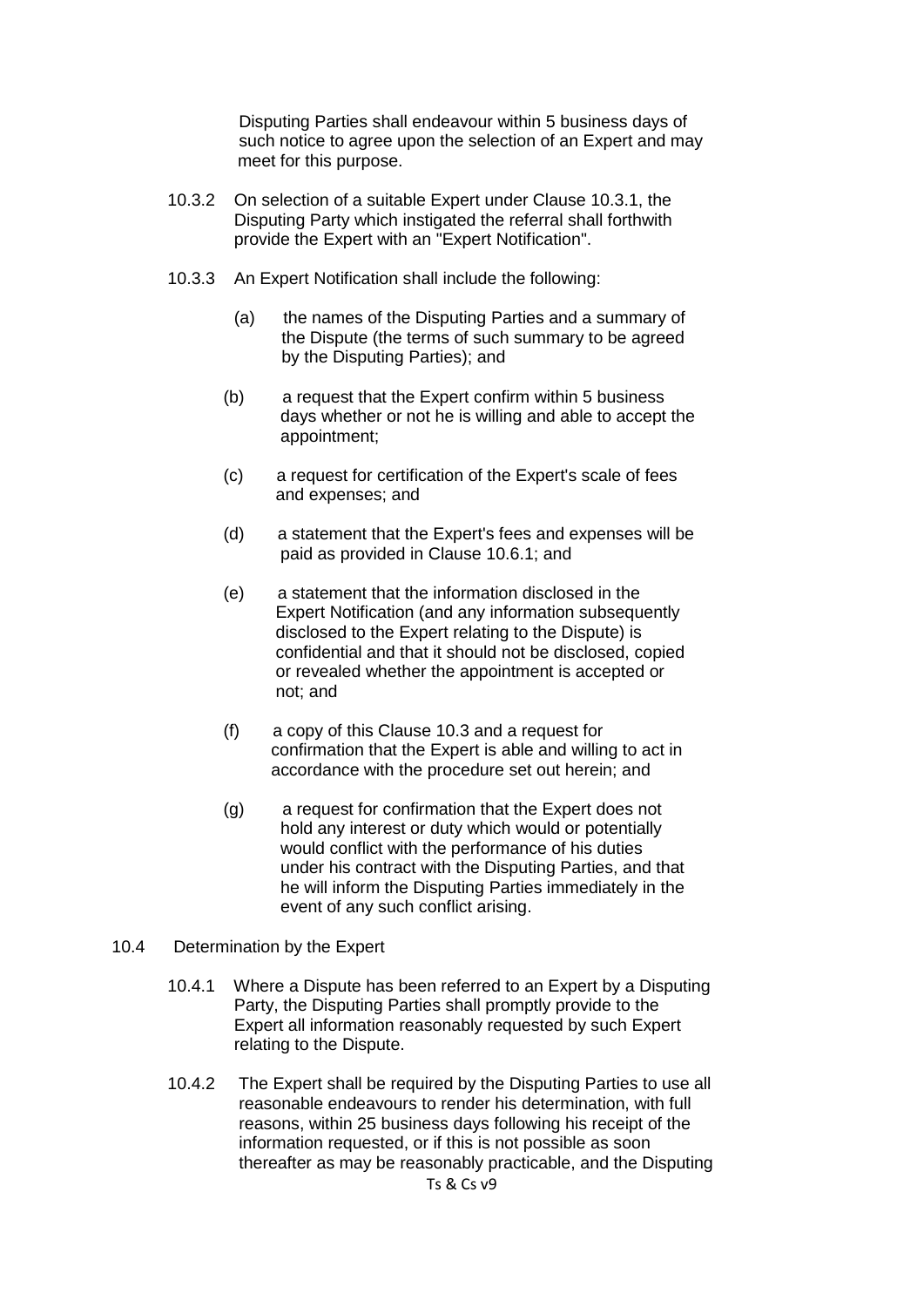Disputing Parties shall endeavour within 5 business days of such notice to agree upon the selection of an Expert and may meet for this purpose.

- 10.3.2 On selection of a suitable Expert under Clause 10.3.1, the Disputing Party which instigated the referral shall forthwith provide the Expert with an "Expert Notification".
- 10.3.3 An Expert Notification shall include the following:
	- (a) the names of the Disputing Parties and a summary of the Dispute (the terms of such summary to be agreed by the Disputing Parties); and
	- (b) a request that the Expert confirm within 5 business days whether or not he is willing and able to accept the appointment;
	- (c) a request for certification of the Expert's scale of fees and expenses; and
	- (d) a statement that the Expert's fees and expenses will be paid as provided in Clause 10.6.1; and
	- (e) a statement that the information disclosed in the Expert Notification (and any information subsequently disclosed to the Expert relating to the Dispute) is confidential and that it should not be disclosed, copied or revealed whether the appointment is accepted or not; and
	- (f) a copy of this Clause 10.3 and a request for confirmation that the Expert is able and willing to act in accordance with the procedure set out herein; and
	- (g) a request for confirmation that the Expert does not hold any interest or duty which would or potentially would conflict with the performance of his duties under his contract with the Disputing Parties, and that he will inform the Disputing Parties immediately in the event of any such conflict arising.

#### 10.4 Determination by the Expert

- 10.4.1 Where a Dispute has been referred to an Expert by a Disputing Party, the Disputing Parties shall promptly provide to the Expert all information reasonably requested by such Expert relating to the Dispute.
- 10.4.2 The Expert shall be required by the Disputing Parties to use all reasonable endeavours to render his determination, with full reasons, within 25 business days following his receipt of the information requested, or if this is not possible as soon thereafter as may be reasonably practicable, and the Disputing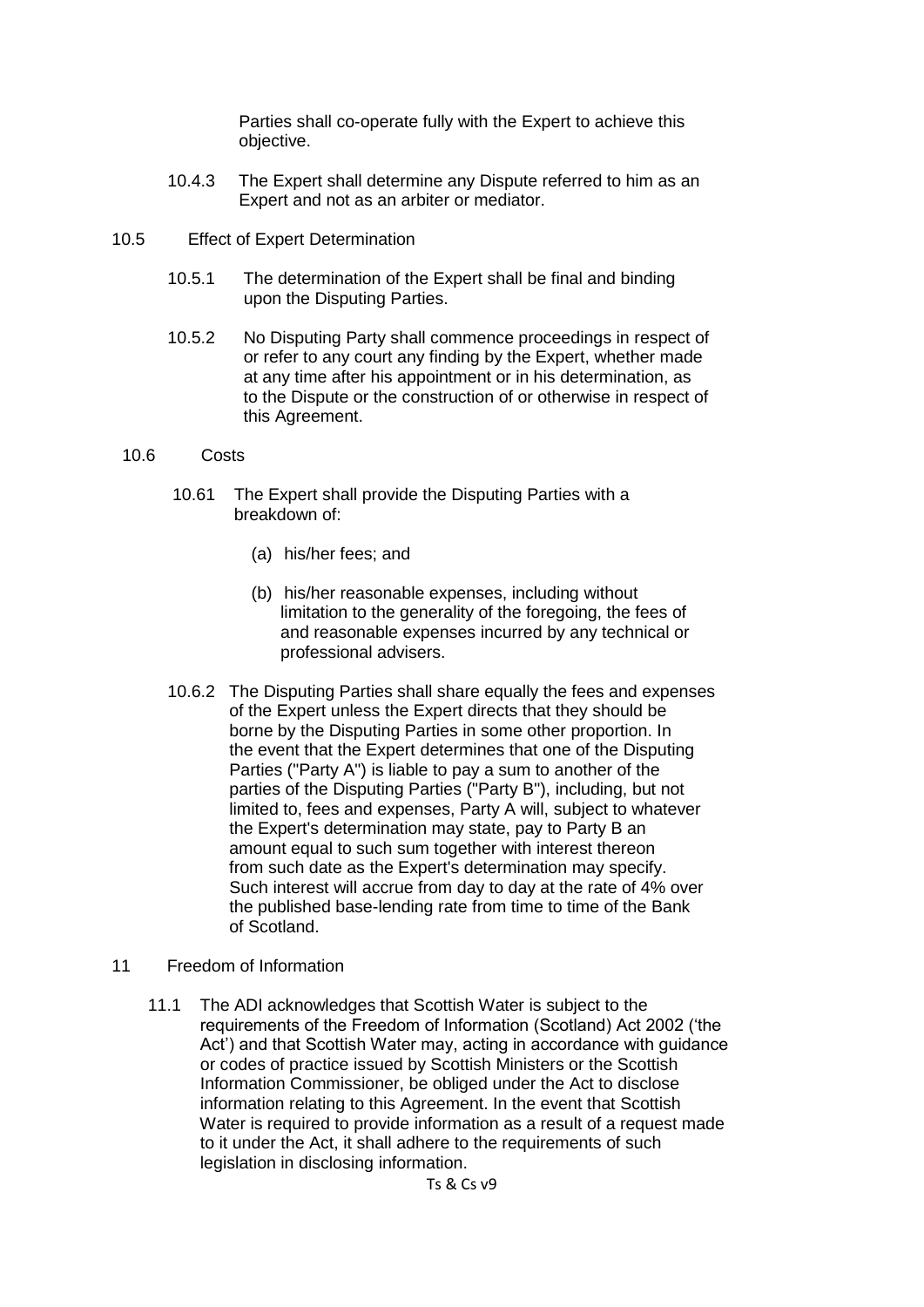Parties shall co-operate fully with the Expert to achieve this objective.

- 10.4.3 The Expert shall determine any Dispute referred to him as an Expert and not as an arbiter or mediator.
- 10.5 Effect of Expert Determination
	- 10.5.1 The determination of the Expert shall be final and binding upon the Disputing Parties.
	- 10.5.2 No Disputing Party shall commence proceedings in respect of or refer to any court any finding by the Expert, whether made at any time after his appointment or in his determination, as to the Dispute or the construction of or otherwise in respect of this Agreement.
	- 10.6 Costs
		- 10.61 The Expert shall provide the Disputing Parties with a breakdown of:
			- (a) his/her fees; and
			- (b) his/her reasonable expenses, including without limitation to the generality of the foregoing, the fees of and reasonable expenses incurred by any technical or professional advisers.
		- 10.6.2 The Disputing Parties shall share equally the fees and expenses of the Expert unless the Expert directs that they should be borne by the Disputing Parties in some other proportion. In the event that the Expert determines that one of the Disputing Parties ("Party A") is liable to pay a sum to another of the parties of the Disputing Parties ("Party B"), including, but not limited to, fees and expenses, Party A will, subject to whatever the Expert's determination may state, pay to Party B an amount equal to such sum together with interest thereon from such date as the Expert's determination may specify. Such interest will accrue from day to day at the rate of 4% over the published base-lending rate from time to time of the Bank of Scotland.
- 11 Freedom of Information
	- 11.1 The ADI acknowledges that Scottish Water is subject to the requirements of the Freedom of Information (Scotland) Act 2002 ('the Act') and that Scottish Water may, acting in accordance with guidance or codes of practice issued by Scottish Ministers or the Scottish Information Commissioner, be obliged under the Act to disclose information relating to this Agreement. In the event that Scottish Water is required to provide information as a result of a request made to it under the Act, it shall adhere to the requirements of such legislation in disclosing information.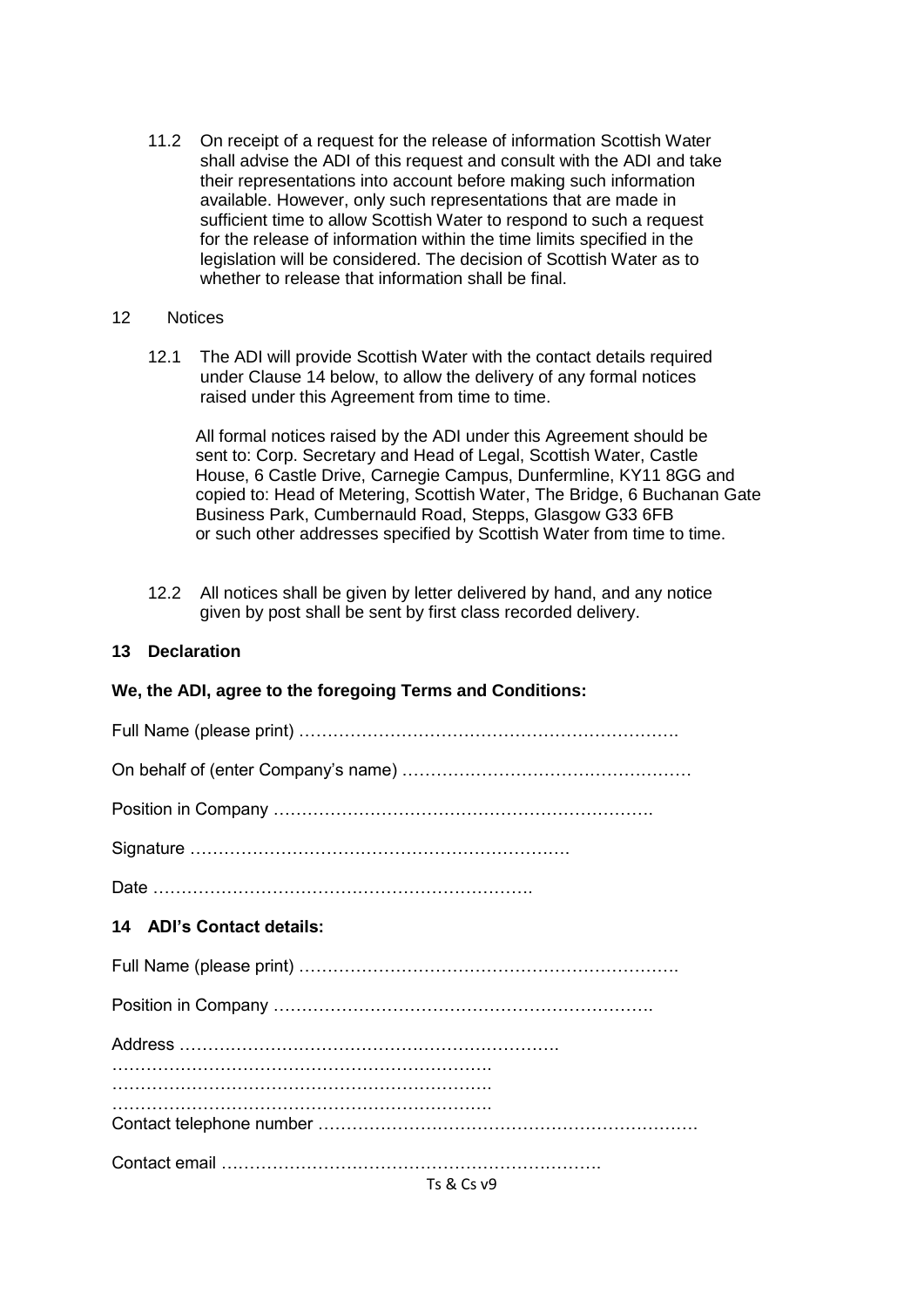11.2 On receipt of a request for the release of information Scottish Water shall advise the ADI of this request and consult with the ADI and take their representations into account before making such information available. However, only such representations that are made in sufficient time to allow Scottish Water to respond to such a request for the release of information within the time limits specified in the legislation will be considered. The decision of Scottish Water as to whether to release that information shall be final.

#### 12 Notices

12.1 The ADI will provide Scottish Water with the contact details required under Clause 14 below, to allow the delivery of any formal notices raised under this Agreement from time to time.

 All formal notices raised by the ADI under this Agreement should be sent to: Corp. Secretary and Head of Legal, Scottish Water, Castle House, 6 Castle Drive, Carnegie Campus, Dunfermline, KY11 8GG and copied to: Head of Metering, Scottish Water, The Bridge, 6 Buchanan Gate Business Park, Cumbernauld Road, Stepps, Glasgow G33 6FB or such other addresses specified by Scottish Water from time to time.

12.2 All notices shall be given by letter delivered by hand, and any notice given by post shall be sent by first class recorded delivery.

### **13 Declaration**

## **We, the ADI, agree to the foregoing Terms and Conditions:**

| 14 ADI's Contact details: |
|---------------------------|
|                           |
|                           |
|                           |
|                           |
|                           |
| $\tau$ and $\alpha$       |

Ts & Cs v9